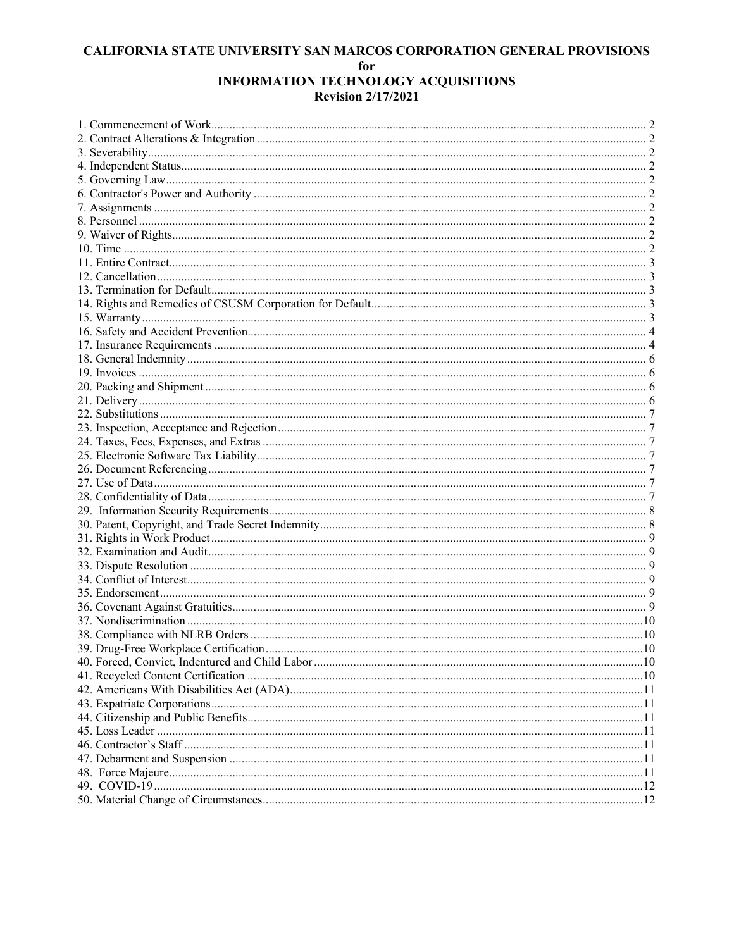| 39. Drug-Free Workplace Certification | .10 |
|---------------------------------------|-----|
|                                       |     |
|                                       |     |
|                                       |     |
|                                       |     |
|                                       |     |
|                                       |     |
|                                       |     |
|                                       |     |
|                                       |     |
|                                       |     |
|                                       |     |
|                                       |     |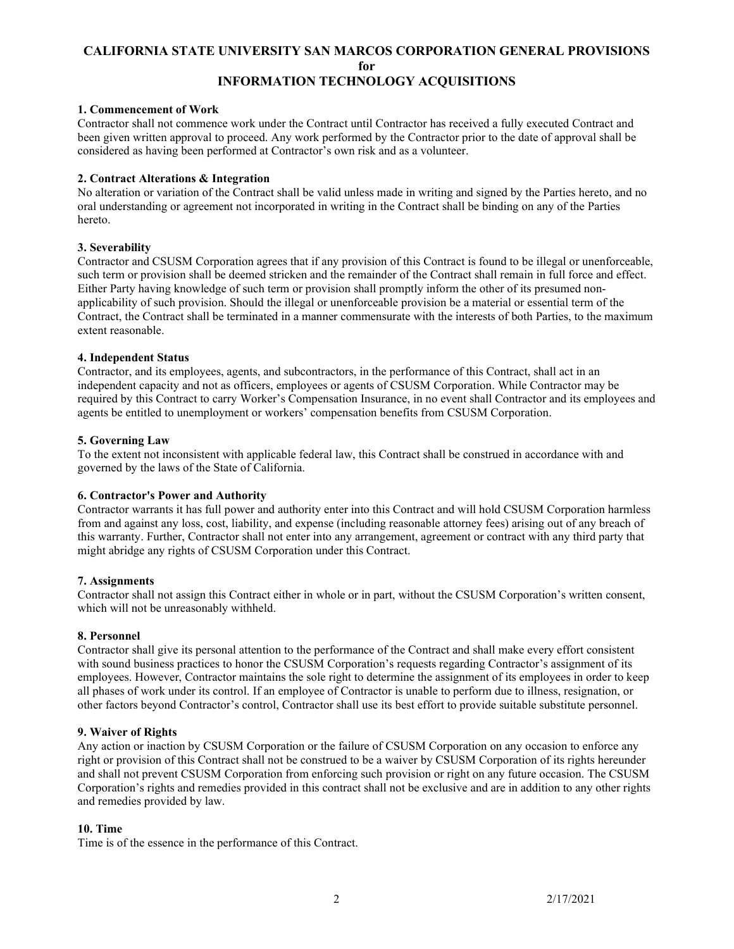# <span id="page-1-0"></span>**1. Commencement of Work**

Contractor shall not commence work under the Contract until Contractor has received a fully executed Contract and been given written approval to proceed. Any work performed by the Contractor prior to the date of approval shall be considered as having been performed at Contractor's own risk and as a volunteer.

# <span id="page-1-1"></span>**2. Contract Alterations & Integration**

No alteration or variation of the Contract shall be valid unless made in writing and signed by the Parties hereto, and no oral understanding or agreement not incorporated in writing in the Contract shall be binding on any of the Parties hereto.

#### <span id="page-1-2"></span>**3. Severability**

Contractor and CSUSM Corporation agrees that if any provision of this Contract is found to be illegal or unenforceable, such term or provision shall be deemed stricken and the remainder of the Contract shall remain in full force and effect. Either Party having knowledge of such term or provision shall promptly inform the other of its presumed nonapplicability of such provision. Should the illegal or unenforceable provision be a material or essential term of the Contract, the Contract shall be terminated in a manner commensurate with the interests of both Parties, to the maximum extent reasonable.

#### <span id="page-1-3"></span>**4. Independent Status**

Contractor, and its employees, agents, and subcontractors, in the performance of this Contract, shall act in an independent capacity and not as officers, employees or agents of CSUSM Corporation. While Contractor may be required by this Contract to carry Worker's Compensation Insurance, in no event shall Contractor and its employees and agents be entitled to unemployment or workers' compensation benefits from CSUSM Corporation.

#### <span id="page-1-4"></span>**5. Governing Law**

To the extent not inconsistent with applicable federal law, this Contract shall be construed in accordance with and governed by the laws of the State of California.

# <span id="page-1-5"></span>**6. Contractor's Power and Authority**

Contractor warrants it has full power and authority enter into this Contract and will hold CSUSM Corporation harmless from and against any loss, cost, liability, and expense (including reasonable attorney fees) arising out of any breach of this warranty. Further, Contractor shall not enter into any arrangement, agreement or contract with any third party that might abridge any rights of CSUSM Corporation under this Contract.

# <span id="page-1-6"></span>**7. Assignments**

Contractor shall not assign this Contract either in whole or in part, without the CSUSM Corporation's written consent, which will not be unreasonably withheld.

# <span id="page-1-7"></span>**8. Personnel**

Contractor shall give its personal attention to the performance of the Contract and shall make every effort consistent with sound business practices to honor the CSUSM Corporation's requests regarding Contractor's assignment of its employees. However, Contractor maintains the sole right to determine the assignment of its employees in order to keep all phases of work under its control. If an employee of Contractor is unable to perform due to illness, resignation, or other factors beyond Contractor's control, Contractor shall use its best effort to provide suitable substitute personnel.

# <span id="page-1-8"></span>**9. Waiver of Rights**

Any action or inaction by CSUSM Corporation or the failure of CSUSM Corporation on any occasion to enforce any right or provision of this Contract shall not be construed to be a waiver by CSUSM Corporation of its rights hereunder and shall not prevent CSUSM Corporation from enforcing such provision or right on any future occasion. The CSUSM Corporation's rights and remedies provided in this contract shall not be exclusive and are in addition to any other rights and remedies provided by law.

# <span id="page-1-9"></span>**10. Time**

Time is of the essence in the performance of this Contract.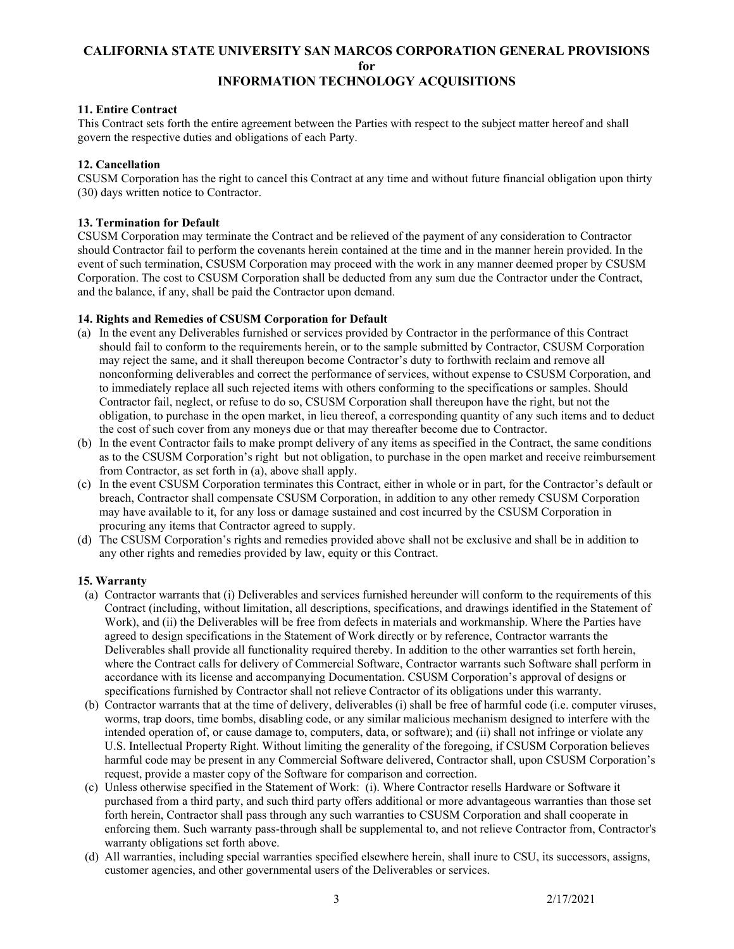# <span id="page-2-0"></span>**11. Entire Contract**

This Contract sets forth the entire agreement between the Parties with respect to the subject matter hereof and shall govern the respective duties and obligations of each Party.

# <span id="page-2-1"></span>**12. Cancellation**

CSUSM Corporation has the right to cancel this Contract at any time and without future financial obligation upon thirty (30) days written notice to Contractor.

# <span id="page-2-2"></span>**13. Termination for Default**

CSUSM Corporation may terminate the Contract and be relieved of the payment of any consideration to Contractor should Contractor fail to perform the covenants herein contained at the time and in the manner herein provided. In the event of such termination, CSUSM Corporation may proceed with the work in any manner deemed proper by CSUSM Corporation. The cost to CSUSM Corporation shall be deducted from any sum due the Contractor under the Contract, and the balance, if any, shall be paid the Contractor upon demand.

# <span id="page-2-3"></span>**14. Rights and Remedies of CSUSM Corporation for Default**

- (a) In the event any Deliverables furnished or services provided by Contractor in the performance of this Contract should fail to conform to the requirements herein, or to the sample submitted by Contractor, CSUSM Corporation may reject the same, and it shall thereupon become Contractor's duty to forthwith reclaim and remove all nonconforming deliverables and correct the performance of services, without expense to CSUSM Corporation, and to immediately replace all such rejected items with others conforming to the specifications or samples. Should Contractor fail, neglect, or refuse to do so, CSUSM Corporation shall thereupon have the right, but not the obligation, to purchase in the open market, in lieu thereof, a corresponding quantity of any such items and to deduct the cost of such cover from any moneys due or that may thereafter become due to Contractor.
- (b) In the event Contractor fails to make prompt delivery of any items as specified in the Contract, the same conditions as to the CSUSM Corporation's right but not obligation, to purchase in the open market and receive reimbursement from Contractor, as set forth in (a), above shall apply.
- (c) In the event CSUSM Corporation terminates this Contract, either in whole or in part, for the Contractor's default or breach, Contractor shall compensate CSUSM Corporation, in addition to any other remedy CSUSM Corporation may have available to it, for any loss or damage sustained and cost incurred by the CSUSM Corporation in procuring any items that Contractor agreed to supply.
- (d) The CSUSM Corporation's rights and remedies provided above shall not be exclusive and shall be in addition to any other rights and remedies provided by law, equity or this Contract.

# <span id="page-2-4"></span>**15. Warranty**

- (a) Contractor warrants that (i) Deliverables and services furnished hereunder will conform to the requirements of this Contract (including, without limitation, all descriptions, specifications, and drawings identified in the Statement of Work), and (ii) the Deliverables will be free from defects in materials and workmanship. Where the Parties have agreed to design specifications in the Statement of Work directly or by reference, Contractor warrants the Deliverables shall provide all functionality required thereby. In addition to the other warranties set forth herein, where the Contract calls for delivery of Commercial Software, Contractor warrants such Software shall perform in accordance with its license and accompanying Documentation. CSUSM Corporation's approval of designs or specifications furnished by Contractor shall not relieve Contractor of its obligations under this warranty.
- (b) Contractor warrants that at the time of delivery, deliverables (i) shall be free of harmful code (i.e. computer viruses, worms, trap doors, time bombs, disabling code, or any similar malicious mechanism designed to interfere with the intended operation of, or cause damage to, computers, data, or software); and (ii) shall not infringe or violate any U.S. Intellectual Property Right. Without limiting the generality of the foregoing, if CSUSM Corporation believes harmful code may be present in any Commercial Software delivered, Contractor shall, upon CSUSM Corporation's request, provide a master copy of the Software for comparison and correction.
- (c) Unless otherwise specified in the Statement of Work: (i). Where Contractor resells Hardware or Software it purchased from a third party, and such third party offers additional or more advantageous warranties than those set forth herein, Contractor shall pass through any such warranties to CSUSM Corporation and shall cooperate in enforcing them. Such warranty pass-through shall be supplemental to, and not relieve Contractor from, Contractor's warranty obligations set forth above.
- (d) All warranties, including special warranties specified elsewhere herein, shall inure to CSU, its successors, assigns, customer agencies, and other governmental users of the Deliverables or services.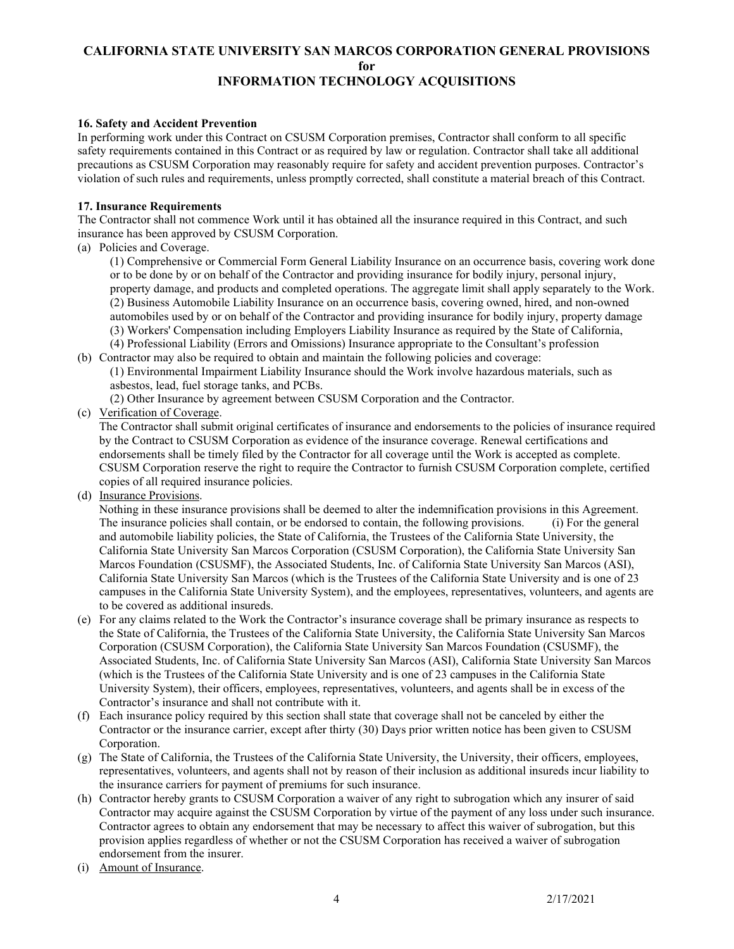# <span id="page-3-0"></span>**16. Safety and Accident Prevention**

In performing work under this Contract on CSUSM Corporation premises, Contractor shall conform to all specific safety requirements contained in this Contract or as required by law or regulation. Contractor shall take all additional precautions as CSUSM Corporation may reasonably require for safety and accident prevention purposes. Contractor's violation of such rules and requirements, unless promptly corrected, shall constitute a material breach of this Contract.

#### <span id="page-3-1"></span>**17. Insurance Requirements**

The Contractor shall not commence Work until it has obtained all the insurance required in this Contract, and such insurance has been approved by CSUSM Corporation.

(a) Policies and Coverage.

(1) Comprehensive or Commercial Form General Liability Insurance on an occurrence basis, covering work done or to be done by or on behalf of the Contractor and providing insurance for bodily injury, personal injury, property damage, and products and completed operations. The aggregate limit shall apply separately to the Work. (2) Business Automobile Liability Insurance on an occurrence basis, covering owned, hired, and non-owned automobiles used by or on behalf of the Contractor and providing insurance for bodily injury, property damage (3) Workers' Compensation including Employers Liability Insurance as required by the State of California, (4) Professional Liability (Errors and Omissions) Insurance appropriate to the Consultant's profession

(b) Contractor may also be required to obtain and maintain the following policies and coverage:

(1) Environmental Impairment Liability Insurance should the Work involve hazardous materials, such as asbestos, lead, fuel storage tanks, and PCBs.

(2) Other Insurance by agreement between CSUSM Corporation and the Contractor.

(c) Verification of Coverage.

 The Contractor shall submit original certificates of insurance and endorsements to the policies of insurance required by the Contract to CSUSM Corporation as evidence of the insurance coverage. Renewal certifications and endorsements shall be timely filed by the Contractor for all coverage until the Work is accepted as complete. CSUSM Corporation reserve the right to require the Contractor to furnish CSUSM Corporation complete, certified copies of all required insurance policies.

(d) Insurance Provisions.

 Nothing in these insurance provisions shall be deemed to alter the indemnification provisions in this Agreement. The insurance policies shall contain, or be endorsed to contain, the following provisions. (i) For the general and automobile liability policies, the State of California, the Trustees of the California State University, the California State University San Marcos Corporation (CSUSM Corporation), the California State University San Marcos Foundation (CSUSMF), the Associated Students, Inc. of California State University San Marcos (ASI), California State University San Marcos (which is the Trustees of the California State University and is one of 23 campuses in the California State University System), and the employees, representatives, volunteers, and agents are to be covered as additional insureds.

- (e) For any claims related to the Work the Contractor's insurance coverage shall be primary insurance as respects to the State of California, the Trustees of the California State University, the California State University San Marcos Corporation (CSUSM Corporation), the California State University San Marcos Foundation (CSUSMF), the Associated Students, Inc. of California State University San Marcos (ASI), California State University San Marcos (which is the Trustees of the California State University and is one of 23 campuses in the California State University System), their officers, employees, representatives, volunteers, and agents shall be in excess of the Contractor's insurance and shall not contribute with it.
- (f) Each insurance policy required by this section shall state that coverage shall not be canceled by either the Contractor or the insurance carrier, except after thirty (30) Days prior written notice has been given to CSUSM Corporation.
- (g) The State of California, the Trustees of the California State University, the University, their officers, employees, representatives, volunteers, and agents shall not by reason of their inclusion as additional insureds incur liability to the insurance carriers for payment of premiums for such insurance.
- (h) Contractor hereby grants to CSUSM Corporation a waiver of any right to subrogation which any insurer of said Contractor may acquire against the CSUSM Corporation by virtue of the payment of any loss under such insurance. Contractor agrees to obtain any endorsement that may be necessary to affect this waiver of subrogation, but this provision applies regardless of whether or not the CSUSM Corporation has received a waiver of subrogation endorsement from the insurer.
- (i) Amount of Insurance.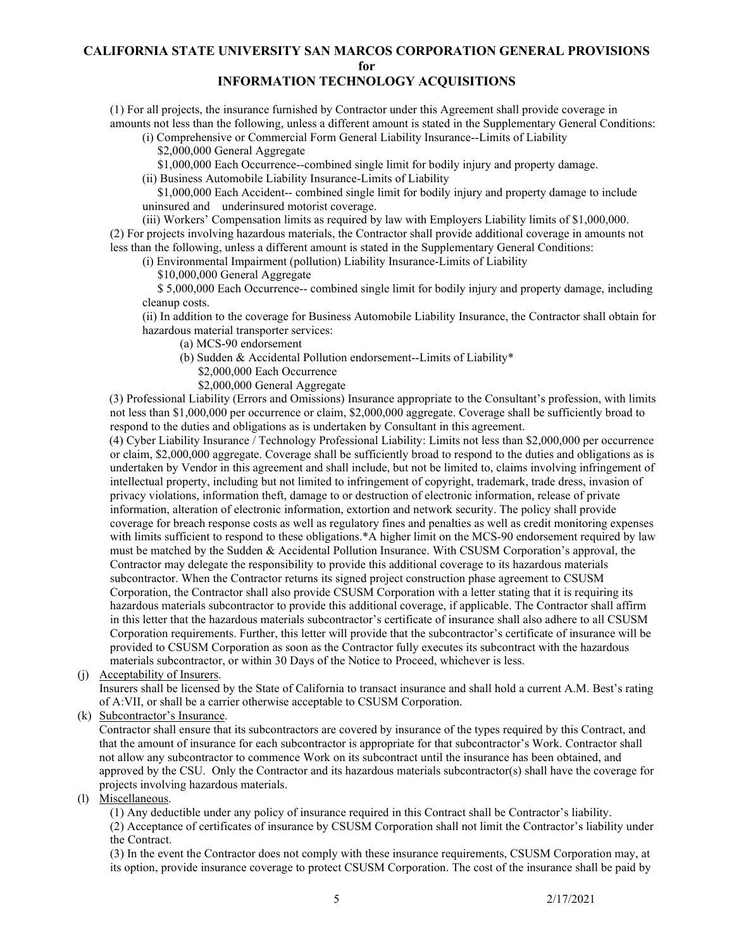# **CALIFORNIA STATE UNIVERSITY SAN MARCOS CORPORATION GENERAL PROVISIONS for**

# **INFORMATION TECHNOLOGY ACQUISITIONS**

(1) For all projects, the insurance furnished by Contractor under this Agreement shall provide coverage in amounts not less than the following, unless a different amount is stated in the Supplementary General Conditions:

(i) Comprehensive or Commercial Form General Liability Insurance--Limits of Liability \$2,000,000 General Aggregate

\$1,000,000 Each Occurrence--combined single limit for bodily injury and property damage.

(ii) Business Automobile Liability Insurance-Limits of Liability

\$1,000,000 Each Accident-- combined single limit for bodily injury and property damage to include uninsured and underinsured motorist coverage.

(iii) Workers' Compensation limits as required by law with Employers Liability limits of \$1,000,000. (2) For projects involving hazardous materials, the Contractor shall provide additional coverage in amounts not less than the following, unless a different amount is stated in the Supplementary General Conditions:

(i) Environmental Impairment (pollution) Liability Insurance-Limits of Liability

\$10,000,000 General Aggregate

 \$ 5,000,000 Each Occurrence-- combined single limit for bodily injury and property damage, including cleanup costs.

(ii) In addition to the coverage for Business Automobile Liability Insurance, the Contractor shall obtain for hazardous material transporter services:

(a) MCS-90 endorsement

- (b) Sudden & Accidental Pollution endorsement--Limits of Liability\*
	- \$2,000,000 Each Occurrence

\$2,000,000 General Aggregate

(3) Professional Liability (Errors and Omissions) Insurance appropriate to the Consultant's profession, with limits not less than \$1,000,000 per occurrence or claim, \$2,000,000 aggregate. Coverage shall be sufficiently broad to respond to the duties and obligations as is undertaken by Consultant in this agreement.

(4) Cyber Liability Insurance / Technology Professional Liability: Limits not less than \$2,000,000 per occurrence or claim, \$2,000,000 aggregate. Coverage shall be sufficiently broad to respond to the duties and obligations as is undertaken by Vendor in this agreement and shall include, but not be limited to, claims involving infringement of intellectual property, including but not limited to infringement of copyright, trademark, trade dress, invasion of privacy violations, information theft, damage to or destruction of electronic information, release of private information, alteration of electronic information, extortion and network security. The policy shall provide coverage for breach response costs as well as regulatory fines and penalties as well as credit monitoring expenses with limits sufficient to respond to these obligations.\*A higher limit on the MCS-90 endorsement required by law must be matched by the Sudden & Accidental Pollution Insurance. With CSUSM Corporation's approval, the Contractor may delegate the responsibility to provide this additional coverage to its hazardous materials subcontractor. When the Contractor returns its signed project construction phase agreement to CSUSM Corporation, the Contractor shall also provide CSUSM Corporation with a letter stating that it is requiring its hazardous materials subcontractor to provide this additional coverage, if applicable. The Contractor shall affirm in this letter that the hazardous materials subcontractor's certificate of insurance shall also adhere to all CSUSM Corporation requirements. Further, this letter will provide that the subcontractor's certificate of insurance will be provided to CSUSM Corporation as soon as the Contractor fully executes its subcontract with the hazardous materials subcontractor, or within 30 Days of the Notice to Proceed, whichever is less.

(j) Acceptability of Insurers.

 Insurers shall be licensed by the State of California to transact insurance and shall hold a current A.M. Best's rating of A:VII, or shall be a carrier otherwise acceptable to CSUSM Corporation.

(k) Subcontractor's Insurance.

 Contractor shall ensure that its subcontractors are covered by insurance of the types required by this Contract, and that the amount of insurance for each subcontractor is appropriate for that subcontractor's Work. Contractor shall not allow any subcontractor to commence Work on its subcontract until the insurance has been obtained, and approved by the CSU. Only the Contractor and its hazardous materials subcontractor(s) shall have the coverage for projects involving hazardous materials.

(l) Miscellaneous.

(1) Any deductible under any policy of insurance required in this Contract shall be Contractor's liability.

(2) Acceptance of certificates of insurance by CSUSM Corporation shall not limit the Contractor's liability under the Contract.

(3) In the event the Contractor does not comply with these insurance requirements, CSUSM Corporation may, at its option, provide insurance coverage to protect CSUSM Corporation. The cost of the insurance shall be paid by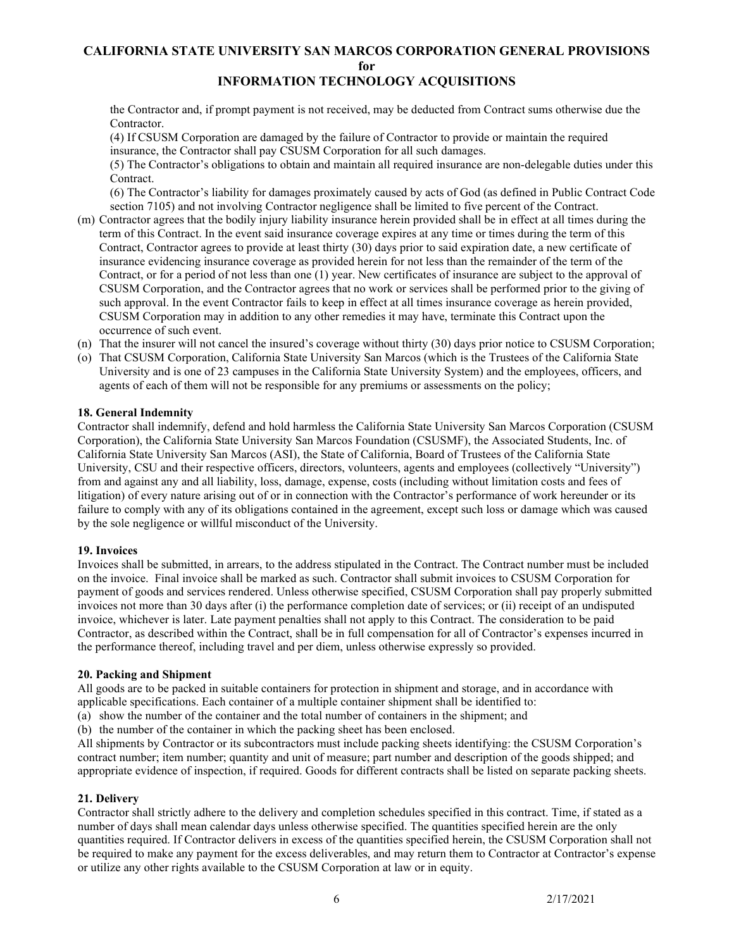the Contractor and, if prompt payment is not received, may be deducted from Contract sums otherwise due the Contractor.

(4) If CSUSM Corporation are damaged by the failure of Contractor to provide or maintain the required insurance, the Contractor shall pay CSUSM Corporation for all such damages.

(5) The Contractor's obligations to obtain and maintain all required insurance are non-delegable duties under this Contract.

(6) The Contractor's liability for damages proximately caused by acts of God (as defined in Public Contract Code section 7105) and not involving Contractor negligence shall be limited to five percent of the Contract.

- (m) Contractor agrees that the bodily injury liability insurance herein provided shall be in effect at all times during the term of this Contract. In the event said insurance coverage expires at any time or times during the term of this Contract, Contractor agrees to provide at least thirty (30) days prior to said expiration date, a new certificate of insurance evidencing insurance coverage as provided herein for not less than the remainder of the term of the Contract, or for a period of not less than one (1) year. New certificates of insurance are subject to the approval of CSUSM Corporation, and the Contractor agrees that no work or services shall be performed prior to the giving of such approval. In the event Contractor fails to keep in effect at all times insurance coverage as herein provided, CSUSM Corporation may in addition to any other remedies it may have, terminate this Contract upon the occurrence of such event.
- (n) That the insurer will not cancel the insured's coverage without thirty (30) days prior notice to CSUSM Corporation;
- (o) That CSUSM Corporation, California State University San Marcos (which is the Trustees of the California State University and is one of 23 campuses in the California State University System) and the employees, officers, and agents of each of them will not be responsible for any premiums or assessments on the policy;

#### <span id="page-5-0"></span>**18. General Indemnity**

Contractor shall indemnify, defend and hold harmless the California State University San Marcos Corporation (CSUSM Corporation), the California State University San Marcos Foundation (CSUSMF), the Associated Students, Inc. of California State University San Marcos (ASI), the State of California, Board of Trustees of the California State University, CSU and their respective officers, directors, volunteers, agents and employees (collectively "University") from and against any and all liability, loss, damage, expense, costs (including without limitation costs and fees of litigation) of every nature arising out of or in connection with the Contractor's performance of work hereunder or its failure to comply with any of its obligations contained in the agreement, except such loss or damage which was caused by the sole negligence or willful misconduct of the University.

#### <span id="page-5-1"></span>**19. Invoices**

Invoices shall be submitted, in arrears, to the address stipulated in the Contract. The Contract number must be included on the invoice. Final invoice shall be marked as such. Contractor shall submit invoices to CSUSM Corporation for payment of goods and services rendered. Unless otherwise specified, CSUSM Corporation shall pay properly submitted invoices not more than 30 days after (i) the performance completion date of services; or (ii) receipt of an undisputed invoice, whichever is later. Late payment penalties shall not apply to this Contract. The consideration to be paid Contractor, as described within the Contract, shall be in full compensation for all of Contractor's expenses incurred in the performance thereof, including travel and per diem, unless otherwise expressly so provided.

#### <span id="page-5-2"></span>**20. Packing and Shipment**

All goods are to be packed in suitable containers for protection in shipment and storage, and in accordance with applicable specifications. Each container of a multiple container shipment shall be identified to:

(a) show the number of the container and the total number of containers in the shipment; and

(b) the number of the container in which the packing sheet has been enclosed.

All shipments by Contractor or its subcontractors must include packing sheets identifying: the CSUSM Corporation's contract number; item number; quantity and unit of measure; part number and description of the goods shipped; and appropriate evidence of inspection, if required. Goods for different contracts shall be listed on separate packing sheets.

# <span id="page-5-3"></span>**21. Delivery**

Contractor shall strictly adhere to the delivery and completion schedules specified in this contract. Time, if stated as a number of days shall mean calendar days unless otherwise specified. The quantities specified herein are the only quantities required. If Contractor delivers in excess of the quantities specified herein, the CSUSM Corporation shall not be required to make any payment for the excess deliverables, and may return them to Contractor at Contractor's expense or utilize any other rights available to the CSUSM Corporation at law or in equity.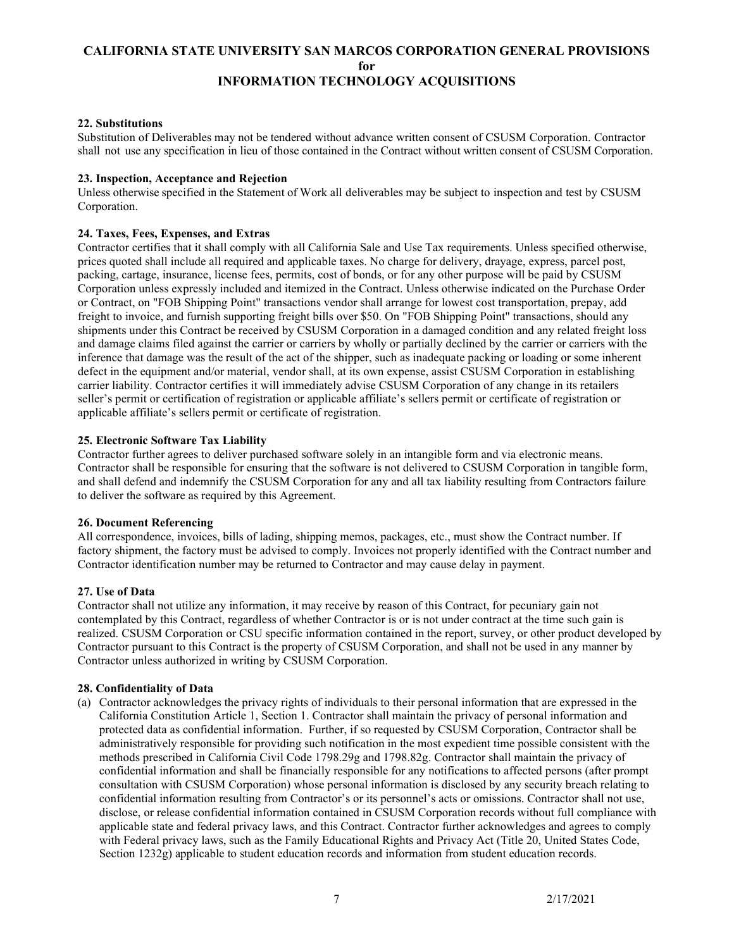# <span id="page-6-0"></span>**22. Substitutions**

Substitution of Deliverables may not be tendered without advance written consent of CSUSM Corporation. Contractor shall not use any specification in lieu of those contained in the Contract without written consent of CSUSM Corporation.

# <span id="page-6-1"></span>**23. Inspection, Acceptance and Rejection**

Unless otherwise specified in the Statement of Work all deliverables may be subject to inspection and test by CSUSM Corporation.

# <span id="page-6-2"></span>**24. Taxes, Fees, Expenses, and Extras**

Contractor certifies that it shall comply with all California Sale and Use Tax requirements. Unless specified otherwise, prices quoted shall include all required and applicable taxes. No charge for delivery, drayage, express, parcel post, packing, cartage, insurance, license fees, permits, cost of bonds, or for any other purpose will be paid by CSUSM Corporation unless expressly included and itemized in the Contract. Unless otherwise indicated on the Purchase Order or Contract, on "FOB Shipping Point" transactions vendor shall arrange for lowest cost transportation, prepay, add freight to invoice, and furnish supporting freight bills over \$50. On "FOB Shipping Point" transactions, should any shipments under this Contract be received by CSUSM Corporation in a damaged condition and any related freight loss and damage claims filed against the carrier or carriers by wholly or partially declined by the carrier or carriers with the inference that damage was the result of the act of the shipper, such as inadequate packing or loading or some inherent defect in the equipment and/or material, vendor shall, at its own expense, assist CSUSM Corporation in establishing carrier liability. Contractor certifies it will immediately advise CSUSM Corporation of any change in its retailers seller's permit or certification of registration or applicable affiliate's sellers permit or certificate of registration or applicable affiliate's sellers permit or certificate of registration.

#### <span id="page-6-3"></span>**25. Electronic Software Tax Liability**

Contractor further agrees to deliver purchased software solely in an intangible form and via electronic means. Contractor shall be responsible for ensuring that the software is not delivered to CSUSM Corporation in tangible form, and shall defend and indemnify the CSUSM Corporation for any and all tax liability resulting from Contractors failure to deliver the software as required by this Agreement.

#### <span id="page-6-4"></span>**26. Document Referencing**

All correspondence, invoices, bills of lading, shipping memos, packages, etc., must show the Contract number. If factory shipment, the factory must be advised to comply. Invoices not properly identified with the Contract number and Contractor identification number may be returned to Contractor and may cause delay in payment.

# <span id="page-6-5"></span>**27. Use of Data**

Contractor shall not utilize any information, it may receive by reason of this Contract, for pecuniary gain not contemplated by this Contract, regardless of whether Contractor is or is not under contract at the time such gain is realized. CSUSM Corporation or CSU specific information contained in the report, survey, or other product developed by Contractor pursuant to this Contract is the property of CSUSM Corporation, and shall not be used in any manner by Contractor unless authorized in writing by CSUSM Corporation.

# <span id="page-6-6"></span>**28. Confidentiality of Data**

(a) Contractor acknowledges the privacy rights of individuals to their personal information that are expressed in the California Constitution Article 1, Section 1. Contractor shall maintain the privacy of personal information and protected data as confidential information. Further, if so requested by CSUSM Corporation, Contractor shall be administratively responsible for providing such notification in the most expedient time possible consistent with the methods prescribed in California Civil Code 1798.29g and 1798.82g. Contractor shall maintain the privacy of confidential information and shall be financially responsible for any notifications to affected persons (after prompt consultation with CSUSM Corporation) whose personal information is disclosed by any security breach relating to confidential information resulting from Contractor's or its personnel's acts or omissions. Contractor shall not use, disclose, or release confidential information contained in CSUSM Corporation records without full compliance with applicable state and federal privacy laws, and this Contract. Contractor further acknowledges and agrees to comply with Federal privacy laws, such as the Family Educational Rights and Privacy Act (Title 20, United States Code, Section 1232g) applicable to student education records and information from student education records.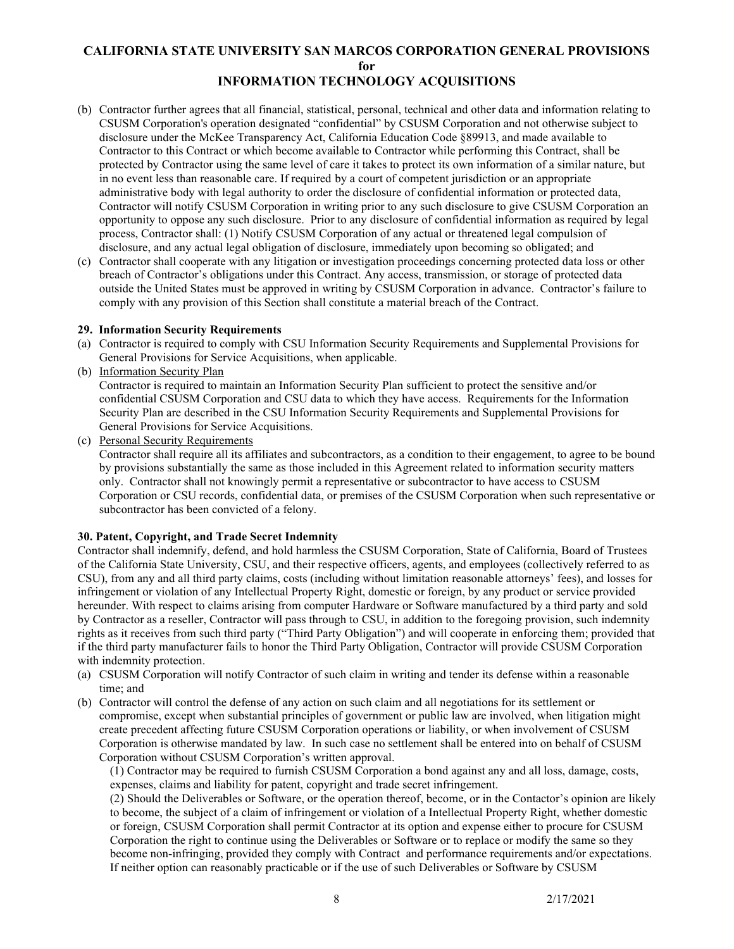- (b) Contractor further agrees that all financial, statistical, personal, technical and other data and information relating to CSUSM Corporation's operation designated "confidential" by CSUSM Corporation and not otherwise subject to disclosure under the McKee Transparency Act, California Education Code §89913, and made available to Contractor to this Contract or which become available to Contractor while performing this Contract, shall be protected by Contractor using the same level of care it takes to protect its own information of a similar nature, but in no event less than reasonable care. If required by a court of competent jurisdiction or an appropriate administrative body with legal authority to order the disclosure of confidential information or protected data, Contractor will notify CSUSM Corporation in writing prior to any such disclosure to give CSUSM Corporation an opportunity to oppose any such disclosure. Prior to any disclosure of confidential information as required by legal process, Contractor shall: (1) Notify CSUSM Corporation of any actual or threatened legal compulsion of disclosure, and any actual legal obligation of disclosure, immediately upon becoming so obligated; and
- (c) Contractor shall cooperate with any litigation or investigation proceedings concerning protected data loss or other breach of Contractor's obligations under this Contract. Any access, transmission, or storage of protected data outside the United States must be approved in writing by CSUSM Corporation in advance. Contractor's failure to comply with any provision of this Section shall constitute a material breach of the Contract.

#### <span id="page-7-0"></span>**29.****Information Security Requirements**

- (a) Contractor is required to comply with CSU Information Security Requirements and Supplemental Provisions for General Provisions for Service Acquisitions, when applicable.
- (b) Information Security Plan

 Contractor is required to maintain an Information Security Plan sufficient to protect the sensitive and/or confidential CSUSM Corporation and CSU data to which they have access. Requirements for the Information Security Plan are described in the CSU Information Security Requirements and Supplemental Provisions for General Provisions for Service Acquisitions.

(c) Personal Security Requirements

 Contractor shall require all its affiliates and subcontractors, as a condition to their engagement, to agree to be bound by provisions substantially the same as those included in this Agreement related to information security matters only. Contractor shall not knowingly permit a representative or subcontractor to have access to CSUSM Corporation or CSU records, confidential data, or premises of the CSUSM Corporation when such representative or subcontractor has been convicted of a felony.

# <span id="page-7-1"></span>**30. Patent, Copyright, and Trade Secret Indemnity**

Contractor shall indemnify, defend, and hold harmless the CSUSM Corporation, State of California, Board of Trustees of the California State University, CSU, and their respective officers, agents, and employees (collectively referred to as CSU), from any and all third party claims, costs (including without limitation reasonable attorneys' fees), and losses for infringement or violation of any Intellectual Property Right, domestic or foreign, by any product or service provided hereunder. With respect to claims arising from computer Hardware or Software manufactured by a third party and sold by Contractor as a reseller, Contractor will pass through to CSU, in addition to the foregoing provision, such indemnity rights as it receives from such third party ("Third Party Obligation") and will cooperate in enforcing them; provided that if the third party manufacturer fails to honor the Third Party Obligation, Contractor will provide CSUSM Corporation with indemnity protection.

- (a) CSUSM Corporation will notify Contractor of such claim in writing and tender its defense within a reasonable time; and
- (b) Contractor will control the defense of any action on such claim and all negotiations for its settlement or compromise, except when substantial principles of government or public law are involved, when litigation might create precedent affecting future CSUSM Corporation operations or liability, or when involvement of CSUSM Corporation is otherwise mandated by law. In such case no settlement shall be entered into on behalf of CSUSM Corporation without CSUSM Corporation's written approval.

(1) Contractor may be required to furnish CSUSM Corporation a bond against any and all loss, damage, costs, expenses, claims and liability for patent, copyright and trade secret infringement.

(2) Should the Deliverables or Software, or the operation thereof, become, or in the Contactor's opinion are likely to become, the subject of a claim of infringement or violation of a Intellectual Property Right, whether domestic or foreign, CSUSM Corporation shall permit Contractor at its option and expense either to procure for CSUSM Corporation the right to continue using the Deliverables or Software or to replace or modify the same so they become non-infringing, provided they comply with Contract and performance requirements and/or expectations. If neither option can reasonably practicable or if the use of such Deliverables or Software by CSUSM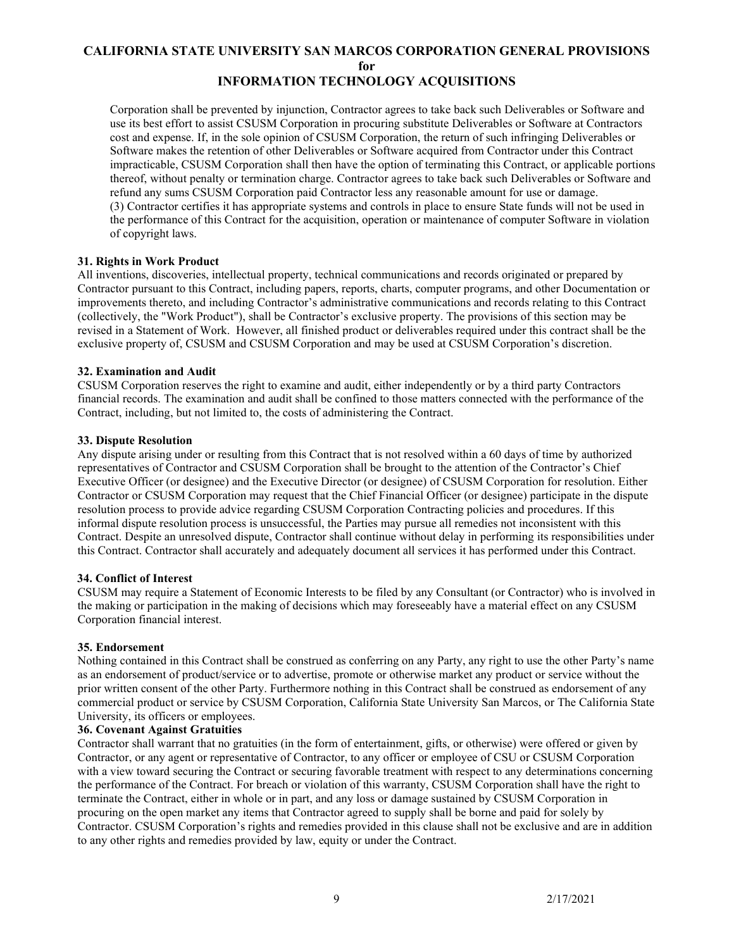Corporation shall be prevented by injunction, Contractor agrees to take back such Deliverables or Software and use its best effort to assist CSUSM Corporation in procuring substitute Deliverables or Software at Contractors cost and expense. If, in the sole opinion of CSUSM Corporation, the return of such infringing Deliverables or Software makes the retention of other Deliverables or Software acquired from Contractor under this Contract impracticable, CSUSM Corporation shall then have the option of terminating this Contract, or applicable portions thereof, without penalty or termination charge. Contractor agrees to take back such Deliverables or Software and refund any sums CSUSM Corporation paid Contractor less any reasonable amount for use or damage. (3) Contractor certifies it has appropriate systems and controls in place to ensure State funds will not be used in the performance of this Contract for the acquisition, operation or maintenance of computer Software in violation of copyright laws.

#### <span id="page-8-0"></span>**31. Rights in Work Product**

All inventions, discoveries, intellectual property, technical communications and records originated or prepared by Contractor pursuant to this Contract, including papers, reports, charts, computer programs, and other Documentation or improvements thereto, and including Contractor's administrative communications and records relating to this Contract (collectively, the "Work Product"), shall be Contractor's exclusive property. The provisions of this section may be revised in a Statement of Work. However, all finished product or deliverables required under this contract shall be the exclusive property of, CSUSM and CSUSM Corporation and may be used at CSUSM Corporation's discretion.

#### <span id="page-8-1"></span>**32. Examination and Audit**

CSUSM Corporation reserves the right to examine and audit, either independently or by a third party Contractors financial records. The examination and audit shall be confined to those matters connected with the performance of the Contract, including, but not limited to, the costs of administering the Contract.

#### <span id="page-8-2"></span>**33. Dispute Resolution**

Any dispute arising under or resulting from this Contract that is not resolved within a 60 days of time by authorized representatives of Contractor and CSUSM Corporation shall be brought to the attention of the Contractor's Chief Executive Officer (or designee) and the Executive Director (or designee) of CSUSM Corporation for resolution. Either Contractor or CSUSM Corporation may request that the Chief Financial Officer (or designee) participate in the dispute resolution process to provide advice regarding CSUSM Corporation Contracting policies and procedures. If this informal dispute resolution process is unsuccessful, the Parties may pursue all remedies not inconsistent with this Contract. Despite an unresolved dispute, Contractor shall continue without delay in performing its responsibilities under this Contract. Contractor shall accurately and adequately document all services it has performed under this Contract.

#### <span id="page-8-3"></span>**34. Conflict of Interest**

CSUSM may require a Statement of Economic Interests to be filed by any Consultant (or Contractor) who is involved in the making or participation in the making of decisions which may foreseeably have a material effect on any CSUSM Corporation financial interest.

#### <span id="page-8-4"></span>**35. Endorsement**

Nothing contained in this Contract shall be construed as conferring on any Party, any right to use the other Party's name as an endorsement of product/service or to advertise, promote or otherwise market any product or service without the prior written consent of the other Party. Furthermore nothing in this Contract shall be construed as endorsement of any commercial product or service by CSUSM Corporation, California State University San Marcos, or The California State University, its officers or employees.

# <span id="page-8-5"></span>**36. Covenant Against Gratuities**

Contractor shall warrant that no gratuities (in the form of entertainment, gifts, or otherwise) were offered or given by Contractor, or any agent or representative of Contractor, to any officer or employee of CSU or CSUSM Corporation with a view toward securing the Contract or securing favorable treatment with respect to any determinations concerning the performance of the Contract. For breach or violation of this warranty, CSUSM Corporation shall have the right to terminate the Contract, either in whole or in part, and any loss or damage sustained by CSUSM Corporation in procuring on the open market any items that Contractor agreed to supply shall be borne and paid for solely by Contractor. CSUSM Corporation's rights and remedies provided in this clause shall not be exclusive and are in addition to any other rights and remedies provided by law, equity or under the Contract.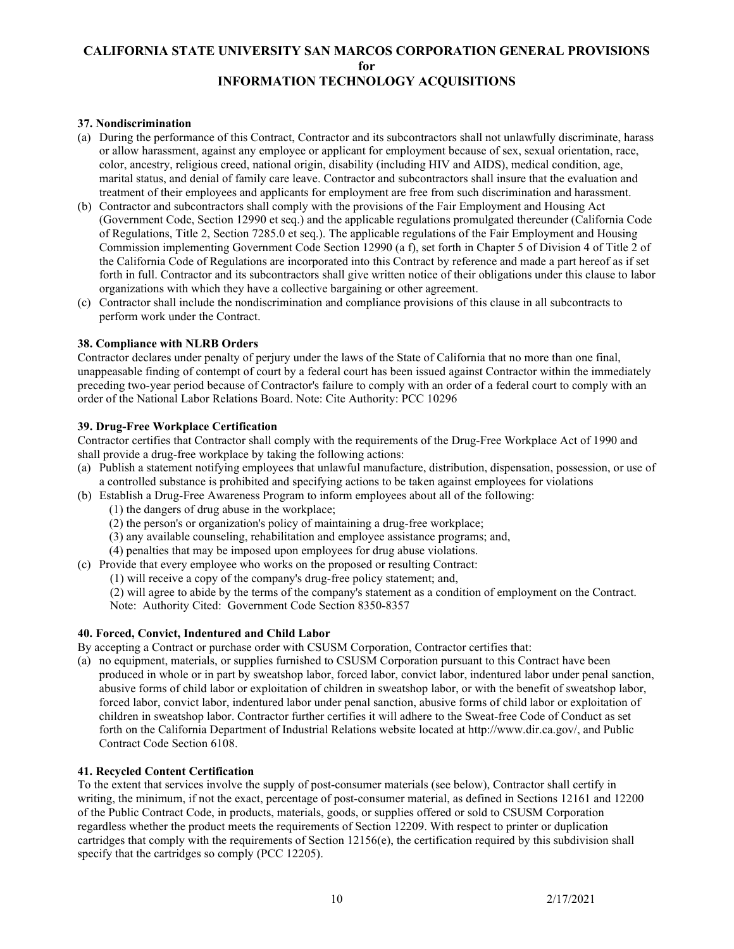# <span id="page-9-0"></span>**37. Nondiscrimination**

- (a) During the performance of this Contract, Contractor and its subcontractors shall not unlawfully discriminate, harass or allow harassment, against any employee or applicant for employment because of sex, sexual orientation, race, color, ancestry, religious creed, national origin, disability (including HIV and AIDS), medical condition, age, marital status, and denial of family care leave. Contractor and subcontractors shall insure that the evaluation and treatment of their employees and applicants for employment are free from such discrimination and harassment.
- (b) Contractor and subcontractors shall comply with the provisions of the Fair Employment and Housing Act (Government Code, Section 12990 et seq.) and the applicable regulations promulgated thereunder (California Code of Regulations, Title 2, Section 7285.0 et seq.). The applicable regulations of the Fair Employment and Housing Commission implementing Government Code Section 12990 (a f), set forth in Chapter 5 of Division 4 of Title 2 of the California Code of Regulations are incorporated into this Contract by reference and made a part hereof as if set forth in full. Contractor and its subcontractors shall give written notice of their obligations under this clause to labor organizations with which they have a collective bargaining or other agreement.
- (c) Contractor shall include the nondiscrimination and compliance provisions of this clause in all subcontracts to perform work under the Contract.

#### <span id="page-9-1"></span>**38. Compliance with NLRB Orders**

Contractor declares under penalty of perjury under the laws of the State of California that no more than one final, unappeasable finding of contempt of court by a federal court has been issued against Contractor within the immediately preceding two-year period because of Contractor's failure to comply with an order of a federal court to comply with an order of the National Labor Relations Board. Note: Cite Authority: PCC 10296

#### <span id="page-9-2"></span>**39. Drug-Free Workplace Certification**

Contractor certifies that Contractor shall comply with the requirements of the Drug-Free Workplace Act of 1990 and shall provide a drug-free workplace by taking the following actions:

- (a) Publish a statement notifying employees that unlawful manufacture, distribution, dispensation, possession, or use of a controlled substance is prohibited and specifying actions to be taken against employees for violations
- (b) Establish a Drug-Free Awareness Program to inform employees about all of the following:
	- (1) the dangers of drug abuse in the workplace;
	- (2) the person's or organization's policy of maintaining a drug-free workplace;
	- (3) any available counseling, rehabilitation and employee assistance programs; and,
	- (4) penalties that may be imposed upon employees for drug abuse violations.
- (c) Provide that every employee who works on the proposed or resulting Contract:
	- (1) will receive a copy of the company's drug-free policy statement; and,

(2) will agree to abide by the terms of the company's statement as a condition of employment on the Contract. Note: Authority Cited: Government Code Section 8350-8357

# <span id="page-9-3"></span>**40. Forced, Convict, Indentured and Child Labor**

- By accepting a Contract or purchase order with CSUSM Corporation, Contractor certifies that:
- (a) no equipment, materials, or supplies furnished to CSUSM Corporation pursuant to this Contract have been produced in whole or in part by sweatshop labor, forced labor, convict labor, indentured labor under penal sanction, abusive forms of child labor or exploitation of children in sweatshop labor, or with the benefit of sweatshop labor, forced labor, convict labor, indentured labor under penal sanction, abusive forms of child labor or exploitation of children in sweatshop labor. Contractor further certifies it will adhere to the Sweat-free Code of Conduct as set forth on the California Department of Industrial Relations website located at http://www.dir.ca.gov/, and Public Contract Code Section 6108.

# <span id="page-9-4"></span>**41. Recycled Content Certification**

To the extent that services involve the supply of post-consumer materials (see below), Contractor shall certify in writing, the minimum, if not the exact, percentage of post-consumer material, as defined in Sections 12161 and 12200 of the Public Contract Code, in products, materials, goods, or supplies offered or sold to CSUSM Corporation regardless whether the product meets the requirements of Section 12209. With respect to printer or duplication cartridges that comply with the requirements of Section  $12156(e)$ , the certification required by this subdivision shall specify that the cartridges so comply (PCC 12205).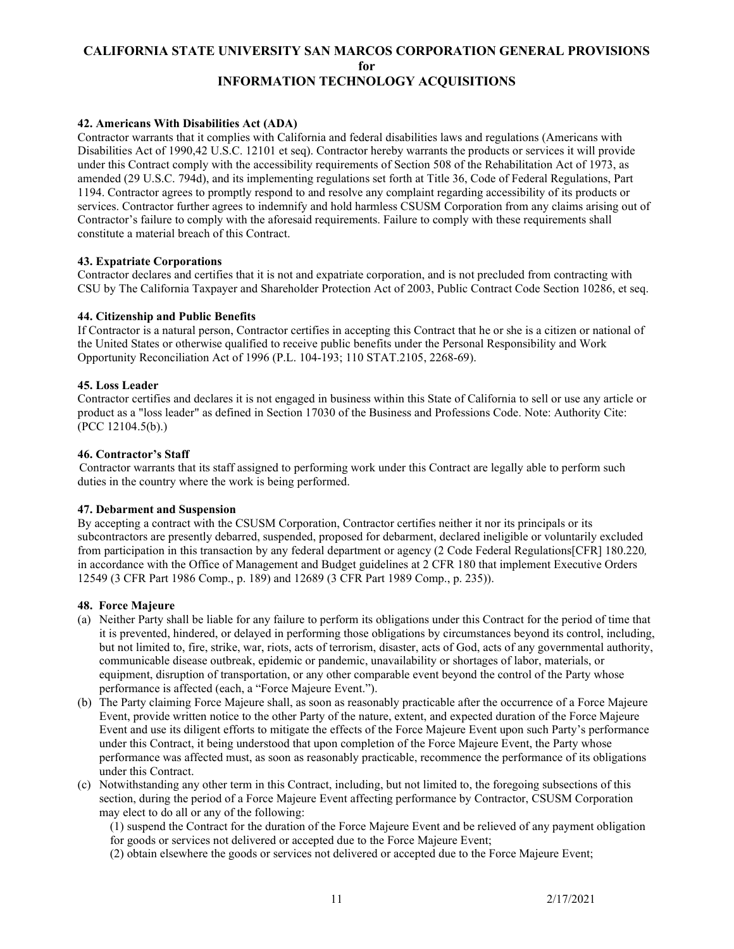# <span id="page-10-0"></span>**42. Americans With Disabilities Act (ADA)**

Contractor warrants that it complies with California and federal disabilities laws and regulations (Americans with Disabilities Act of 1990,42 U.S.C. 12101 et seq). Contractor hereby warrants the products or services it will provide under this Contract comply with the accessibility requirements of Section 508 of the Rehabilitation Act of 1973, as amended (29 U.S.C. 794d), and its implementing regulations set forth at Title 36, Code of Federal Regulations, Part 1194. Contractor agrees to promptly respond to and resolve any complaint regarding accessibility of its products or services. Contractor further agrees to indemnify and hold harmless CSUSM Corporation from any claims arising out of Contractor's failure to comply with the aforesaid requirements. Failure to comply with these requirements shall constitute a material breach of this Contract.

#### <span id="page-10-1"></span>**43. Expatriate Corporations**

Contractor declares and certifies that it is not and expatriate corporation, and is not precluded from contracting with CSU by The California Taxpayer and Shareholder Protection Act of 2003, Public Contract Code Section 10286, et seq.

#### <span id="page-10-2"></span>**44. Citizenship and Public Benefits**

If Contractor is a natural person, Contractor certifies in accepting this Contract that he or she is a citizen or national of the United States or otherwise qualified to receive public benefits under the Personal Responsibility and Work Opportunity Reconciliation Act of 1996 (P.L. 104-193; 110 STAT.2105, 2268-69).

#### <span id="page-10-3"></span>**45. Loss Leader**

Contractor certifies and declares it is not engaged in business within this State of California to sell or use any article or product as a "loss leader" as defined in Section 17030 of the Business and Professions Code. Note: Authority Cite: (PCC 12104.5(b).)

#### <span id="page-10-4"></span>**46. Contractor's Staff**

 Contractor warrants that its staff assigned to performing work under this Contract are legally able to perform such duties in the country where the work is being performed.

#### <span id="page-10-5"></span>**47. Debarment and Suspension**

By accepting a contract with the CSUSM Corporation, Contractor certifies neither it nor its principals or its subcontractors are presently debarred, suspended, proposed for debarment, declared ineligible or voluntarily excluded from participation in this transaction by any federal department or agency (2 Code Federal Regulations[CFR] 180.220*,*  in accordance with the Office of Management and Budget guidelines at 2 CFR 180 that implement Executive Orders 12549 (3 CFR Part 1986 Comp., p. 189) and 12689 (3 CFR Part 1989 Comp., p. 235)).

#### <span id="page-10-6"></span>**48. Force Majeure**

- (a) Neither Party shall be liable for any failure to perform its obligations under this Contract for the period of time that it is prevented, hindered, or delayed in performing those obligations by circumstances beyond its control, including, but not limited to, fire, strike, war, riots, acts of terrorism, disaster, acts of God, acts of any governmental authority, communicable disease outbreak, epidemic or pandemic, unavailability or shortages of labor, materials, or equipment, disruption of transportation, or any other comparable event beyond the control of the Party whose performance is affected (each, a "Force Majeure Event.").
- (b) The Party claiming Force Majeure shall, as soon as reasonably practicable after the occurrence of a Force Majeure Event, provide written notice to the other Party of the nature, extent, and expected duration of the Force Majeure Event and use its diligent efforts to mitigate the effects of the Force Majeure Event upon such Party's performance under this Contract, it being understood that upon completion of the Force Majeure Event, the Party whose performance was affected must, as soon as reasonably practicable, recommence the performance of its obligations under this Contract.
- (c) Notwithstanding any other term in this Contract, including, but not limited to, the foregoing subsections of this section, during the period of a Force Majeure Event affecting performance by Contractor, CSUSM Corporation may elect to do all or any of the following:

(1) suspend the Contract for the duration of the Force Majeure Event and be relieved of any payment obligation for goods or services not delivered or accepted due to the Force Majeure Event;

(2) obtain elsewhere the goods or services not delivered or accepted due to the Force Majeure Event;